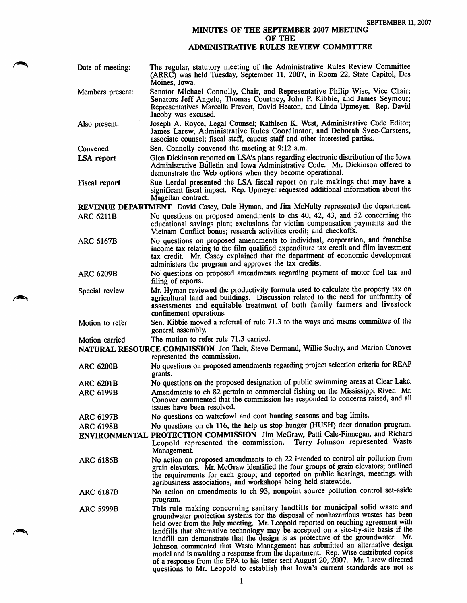## MINUTES OF THE SEPTEMBER 2007 MEETING OF THE ADMINISTRATIVE RULES REVIEW COMMITTEE

| Date of meeting:                                                                        | The regular, statutory meeting of the Administrative Rules Review Committee<br>(ARRC) was held Tuesday, September 11, 2007, in Room 22, State Capitol, Des<br>Moines, Iowa.                                                                                                                                                                                                                                                                                                                                                                                                                                                                                                                |  |
|-----------------------------------------------------------------------------------------|--------------------------------------------------------------------------------------------------------------------------------------------------------------------------------------------------------------------------------------------------------------------------------------------------------------------------------------------------------------------------------------------------------------------------------------------------------------------------------------------------------------------------------------------------------------------------------------------------------------------------------------------------------------------------------------------|--|
| Members present:                                                                        | Senator Michael Connolly, Chair, and Representative Philip Wise, Vice Chair;<br>Senators Jeff Angelo, Thomas Courtney, John P. Kibbie, and James Seymour;<br>Representatives Marcella Frevert, David Heaton, and Linda Upmeyer. Rep. David<br>Jacoby was excused.                                                                                                                                                                                                                                                                                                                                                                                                                          |  |
| Also present:                                                                           | Joseph A. Royce, Legal Counsel; Kathleen K. West, Administrative Code Editor;<br>James Larew, Administrative Rules Coordinator, and Deborah Svec-Carstens,<br>associate counsel; fiscal staff, caucus staff and other interested parties.                                                                                                                                                                                                                                                                                                                                                                                                                                                  |  |
| Convened                                                                                | Sen. Connolly convened the meeting at 9:12 a.m.                                                                                                                                                                                                                                                                                                                                                                                                                                                                                                                                                                                                                                            |  |
| LSA report                                                                              | Glen Dickinson reported on LSA's plans regarding electronic distribution of the Iowa<br>Administrative Bulletin and Iowa Administrative Code. Mr. Dickinson offered to<br>demonstrate the Web options when they become operational.                                                                                                                                                                                                                                                                                                                                                                                                                                                        |  |
| <b>Fiscal report</b>                                                                    | Sue Lerdal presented the LSA fiscal report on rule makings that may have a<br>significant fiscal impact. Rep. Upmeyer requested additional information about the<br>Magellan contract.                                                                                                                                                                                                                                                                                                                                                                                                                                                                                                     |  |
| REVENUE DEPARTMENT David Casey, Dale Hyman, and Jim McNulty represented the department. |                                                                                                                                                                                                                                                                                                                                                                                                                                                                                                                                                                                                                                                                                            |  |
| <b>ARC 6211B</b>                                                                        | No questions on proposed amendments to chs 40, 42, 43, and 52 concerning the<br>educational savings plan; exclusions for victim compensation payments and the<br>Vietnam Conflict bonus; research activities credit; and checkoffs.                                                                                                                                                                                                                                                                                                                                                                                                                                                        |  |
| <b>ARC 6167B</b>                                                                        | No questions on proposed amendments to individual, corporation, and franchise<br>income tax relating to the film qualified expenditure tax credit and film investment<br>tax credit. Mr. Casey explained that the department of economic development<br>administers the program and approves the tax credits.                                                                                                                                                                                                                                                                                                                                                                              |  |
| <b>ARC 6209B</b>                                                                        | No questions on proposed amendments regarding payment of motor fuel tax and<br>filing of reports.                                                                                                                                                                                                                                                                                                                                                                                                                                                                                                                                                                                          |  |
| Special review                                                                          | Mr. Hyman reviewed the productivity formula used to calculate the property tax on<br>agricultural land and buildings. Discussion related to the need for uniformity of<br>assessments and equitable treatment of both family farmers and livestock<br>confinement operations.                                                                                                                                                                                                                                                                                                                                                                                                              |  |
| Motion to refer                                                                         | Sen. Kibbie moved a referral of rule 71.3 to the ways and means committee of the<br>general assembly.                                                                                                                                                                                                                                                                                                                                                                                                                                                                                                                                                                                      |  |
| Motion carried                                                                          | The motion to refer rule 71.3 carried.                                                                                                                                                                                                                                                                                                                                                                                                                                                                                                                                                                                                                                                     |  |
|                                                                                         | NATURAL RESOURCE COMMISSION Jon Tack, Steve Dermand, Willie Suchy, and Marion Conover<br>represented the commission.                                                                                                                                                                                                                                                                                                                                                                                                                                                                                                                                                                       |  |
| <b>ARC 6200B</b>                                                                        | No questions on proposed amendments regarding project selection criteria for REAP<br>grants.                                                                                                                                                                                                                                                                                                                                                                                                                                                                                                                                                                                               |  |
| <b>ARC 6201B</b>                                                                        | No questions on the proposed designation of public swimming areas at Clear Lake.                                                                                                                                                                                                                                                                                                                                                                                                                                                                                                                                                                                                           |  |
| <b>ARC 6199B</b>                                                                        | Amendments to ch 82 pertain to commercial fishing on the Mississippi River. Mr.<br>Conover commented that the commission has responded to concerns raised, and all<br>issues have been resolved.                                                                                                                                                                                                                                                                                                                                                                                                                                                                                           |  |
| <b>ARC 6197B</b>                                                                        | No questions on waterfowl and coot hunting seasons and bag limits.                                                                                                                                                                                                                                                                                                                                                                                                                                                                                                                                                                                                                         |  |
| <b>ARC 6198B</b>                                                                        | No questions on ch 116, the help us stop hunger (HUSH) deer donation program.                                                                                                                                                                                                                                                                                                                                                                                                                                                                                                                                                                                                              |  |
|                                                                                         | ENVIRONMENTAL PROTECTION COMMISSION Jim McGraw, Patti Cale-Finnegan, and Richard<br>Terry Johnson represented Waste<br>Leopold represented the commission.<br>Management.                                                                                                                                                                                                                                                                                                                                                                                                                                                                                                                  |  |
| <b>ARC 6186B</b>                                                                        | No action on proposed amendments to ch 22 intended to control air pollution from<br>grain elevators. Mr. McGraw identified the four groups of grain elevators; outlined<br>the requirements for each group; and reported on public hearings, meetings with<br>agribusiness associations, and workshops being held statewide.                                                                                                                                                                                                                                                                                                                                                               |  |
| <b>ARC 6187B</b>                                                                        | No action on amendments to ch 93, nonpoint source pollution control set-aside<br>program.                                                                                                                                                                                                                                                                                                                                                                                                                                                                                                                                                                                                  |  |
| <b>ARC 5999B</b>                                                                        | This rule making concerning sanitary landfills for municipal solid waste and<br>groundwater protection systems for the disposal of nonhazardous wastes has been<br>held over from the July meeting. Mr. Leopold reported on reaching agreement with<br>landfills that alternative technology may be accepted on a site-by-site basis if the<br>landfill can demonstrate that the design is as protective of the groundwater. Mr.<br>Johnson commented that Waste Management has submitted an alternative design<br>model and is awaiting a response from the department. Rep. Wise distributed copies<br>of a response from the EPA to his letter sent August 20, 2007. Mr. Larew directed |  |

 $\rightarrow$ 

 $\overline{\phantom{a}}$ 

questions to Mr. Leopold to establish that Iowa's current standards are not as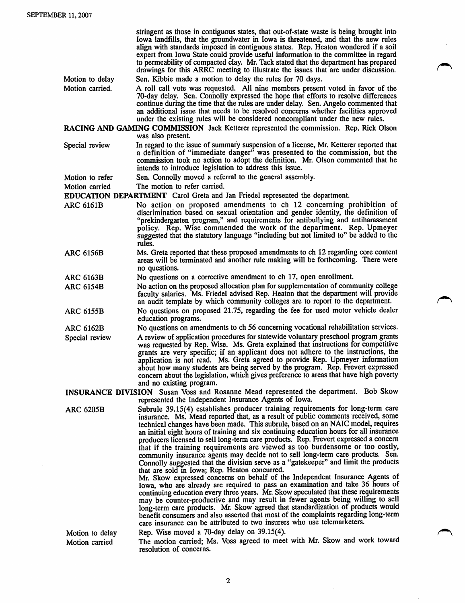|                                                                                                                                                     | stringent as those in contiguous states, that out-of-state waste is being brought into<br>Iowa landfills, that the groundwater in Iowa is threatened, and that the new rules<br>align with standards imposed in contiguous states. Rep. Heaton wondered if a soil<br>expert from Iowa State could provide useful information to the committee in regard<br>to permeability of compacted clay. Mr. Tack stated that the department has prepared<br>drawings for this ARRC meeting to illustrate the issues that are under discussion.                                                                                                                                                                                                                                                                                                                                                                                                                                                                                                                                                                                                                                                                                                                                       |  |
|-----------------------------------------------------------------------------------------------------------------------------------------------------|----------------------------------------------------------------------------------------------------------------------------------------------------------------------------------------------------------------------------------------------------------------------------------------------------------------------------------------------------------------------------------------------------------------------------------------------------------------------------------------------------------------------------------------------------------------------------------------------------------------------------------------------------------------------------------------------------------------------------------------------------------------------------------------------------------------------------------------------------------------------------------------------------------------------------------------------------------------------------------------------------------------------------------------------------------------------------------------------------------------------------------------------------------------------------------------------------------------------------------------------------------------------------|--|
| Motion to delay                                                                                                                                     | Sen. Kibbie made a motion to delay the rules for 70 days.                                                                                                                                                                                                                                                                                                                                                                                                                                                                                                                                                                                                                                                                                                                                                                                                                                                                                                                                                                                                                                                                                                                                                                                                                  |  |
| Motion carried.                                                                                                                                     | A roll call vote was requested. All nine members present voted in favor of the<br>70-day delay. Sen. Connolly expressed the hope that efforts to resolve differences<br>continue during the time that the rules are under delay. Sen. Angelo commented that<br>an additional issue that needs to be resolved concerns whether facilities approved<br>under the existing rules will be considered noncompliant under the new rules.                                                                                                                                                                                                                                                                                                                                                                                                                                                                                                                                                                                                                                                                                                                                                                                                                                         |  |
| RACING AND GAMING COMMISSION Jack Ketterer represented the commission. Rep. Rick Olson<br>was also present.                                         |                                                                                                                                                                                                                                                                                                                                                                                                                                                                                                                                                                                                                                                                                                                                                                                                                                                                                                                                                                                                                                                                                                                                                                                                                                                                            |  |
| Special review                                                                                                                                      | In regard to the issue of summary suspension of a license, Mr. Ketterer reported that<br>a definition of "immediate danger" was presented to the commission, but the<br>commission took no action to adopt the definition. Mr. Olson commented that he<br>intends to introduce legislation to address this issue.                                                                                                                                                                                                                                                                                                                                                                                                                                                                                                                                                                                                                                                                                                                                                                                                                                                                                                                                                          |  |
| Motion to refer                                                                                                                                     | Sen. Connolly moved a referral to the general assembly.                                                                                                                                                                                                                                                                                                                                                                                                                                                                                                                                                                                                                                                                                                                                                                                                                                                                                                                                                                                                                                                                                                                                                                                                                    |  |
| Motion carried                                                                                                                                      | The motion to refer carried.                                                                                                                                                                                                                                                                                                                                                                                                                                                                                                                                                                                                                                                                                                                                                                                                                                                                                                                                                                                                                                                                                                                                                                                                                                               |  |
|                                                                                                                                                     | <b>EDUCATION DEPARTMENT</b> Carol Greta and Jan Friedel represented the department.                                                                                                                                                                                                                                                                                                                                                                                                                                                                                                                                                                                                                                                                                                                                                                                                                                                                                                                                                                                                                                                                                                                                                                                        |  |
| <b>ARC 6161B</b>                                                                                                                                    | No action on proposed amendments to ch 12 concerning prohibition of<br>discrimination based on sexual orientation and gender identity, the definition of<br>"prekindergarten program," and requirements for antibullying and antiharassment<br>policy. Rep. Wise commended the work of the department. Rep. Upmeyer<br>suggested that the statutory language "including but not limited to" be added to the<br>rules.                                                                                                                                                                                                                                                                                                                                                                                                                                                                                                                                                                                                                                                                                                                                                                                                                                                      |  |
| <b>ARC 6156B</b>                                                                                                                                    | Ms. Greta reported that these proposed amendments to ch 12 regarding core content<br>areas will be terminated and another rule making will be forthcoming. There were<br>no questions.                                                                                                                                                                                                                                                                                                                                                                                                                                                                                                                                                                                                                                                                                                                                                                                                                                                                                                                                                                                                                                                                                     |  |
| <b>ARC 6163B</b>                                                                                                                                    | No questions on a corrective amendment to ch 17, open enrollment.                                                                                                                                                                                                                                                                                                                                                                                                                                                                                                                                                                                                                                                                                                                                                                                                                                                                                                                                                                                                                                                                                                                                                                                                          |  |
| <b>ARC 6154B</b>                                                                                                                                    | No action on the proposed allocation plan for supplementation of community college<br>faculty salaries. Ms. Friedel advised Rep. Heaton that the department will provide<br>an audit template by which community colleges are to report to the department.                                                                                                                                                                                                                                                                                                                                                                                                                                                                                                                                                                                                                                                                                                                                                                                                                                                                                                                                                                                                                 |  |
| <b>ARC 6155B</b>                                                                                                                                    | No questions on proposed 21.75, regarding the fee for used motor vehicle dealer<br>education programs.                                                                                                                                                                                                                                                                                                                                                                                                                                                                                                                                                                                                                                                                                                                                                                                                                                                                                                                                                                                                                                                                                                                                                                     |  |
| <b>ARC 6162B</b>                                                                                                                                    | No questions on amendments to ch 56 concerning vocational rehabilitation services.                                                                                                                                                                                                                                                                                                                                                                                                                                                                                                                                                                                                                                                                                                                                                                                                                                                                                                                                                                                                                                                                                                                                                                                         |  |
| Special review                                                                                                                                      | A review of application procedures for statewide voluntary preschool program grants<br>was requested by Rep. Wise. Ms. Greta explained that instructions for competitive<br>grants are very specific; if an applicant does not adhere to the instructions, the<br>application is not read. Ms. Greta agreed to provide Rep. Upmeyer information<br>about how many students are being served by the program. Rep. Frevert expressed<br>concern about the legislation, which gives preference to areas that have high poverty<br>and no existing program.                                                                                                                                                                                                                                                                                                                                                                                                                                                                                                                                                                                                                                                                                                                    |  |
| <b>INSURANCE DIVISION</b> Susan Voss and Rosanne Mead represented the department. Bob Skow<br>represented the Independent Insurance Agents of Iowa. |                                                                                                                                                                                                                                                                                                                                                                                                                                                                                                                                                                                                                                                                                                                                                                                                                                                                                                                                                                                                                                                                                                                                                                                                                                                                            |  |
| <b>ARC 6205B</b>                                                                                                                                    | Subrule 39.15(4) establishes producer training requirements for long-term care<br>insurance. Ms. Mead reported that, as a result of public comments received, some<br>technical changes have been made. This subrule, based on an NAIC model, requires<br>an initial eight hours of training and six continuing education hours for all insurance<br>producers licensed to sell long-term care products. Rep. Frevert expressed a concern<br>that if the training requirements are viewed as too burdensome or too costly,<br>community insurance agents may decide not to sell long-term care products. Sen.<br>Connolly suggested that the division serve as a "gatekeeper" and limit the products<br>that are sold in Iowa; Rep. Heaton concurred.<br>Mr. Skow expressed concerns on behalf of the Independent Insurance Agents of<br>Iowa, who are already are required to pass an examination and take 36 hours of<br>continuing education every three years. Mr. Skow speculated that these requirements<br>may be counter-productive and may result in fewer agents being willing to sell<br>long-term care products. Mr. Skow agreed that standardization of products would<br>benefit consumers and also asserted that most of the complaints regarding long-term |  |
|                                                                                                                                                     | care insurance can be attributed to two insurers who use telemarketers.                                                                                                                                                                                                                                                                                                                                                                                                                                                                                                                                                                                                                                                                                                                                                                                                                                                                                                                                                                                                                                                                                                                                                                                                    |  |
| Motion to delay<br>Motion carried                                                                                                                   | Rep. Wise moved a 70-day delay on 39.15(4).<br>The motion carried; Ms. Voss agreed to meet with Mr. Skow and work toward<br>resolution of concerns.                                                                                                                                                                                                                                                                                                                                                                                                                                                                                                                                                                                                                                                                                                                                                                                                                                                                                                                                                                                                                                                                                                                        |  |

 $\ddot{\phantom{a}}$ 

 $\ddot{\phantom{a}}$